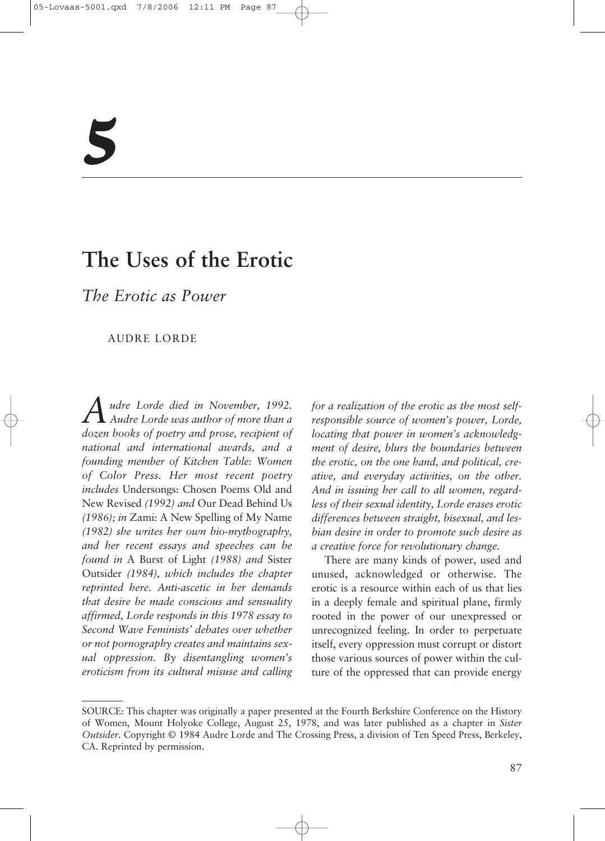# *5*

## **The Uses of the Erotic**

*The Erotic as Power*

#### AUDRE LORDE

*Audre Lorde died in November, 1992. Audre Lorde was author of more than a dozen books of poetry and prose, recipient of national and international awards, and a founding member of Kitchen Table: Women of Color Press. Her most recent poetry includes* Undersongs: Chosen Poems Old and New Revised *(1992) and* Our Dead Behind Us *(1986); in* Zami: A New Spelling of My Name *(1982) she writes her own bio-mythography, and her recent essays and speeches can be found in* A Burst of Light *(1988) and* Sister Outsider *(1984), which includes the chapter reprinted here. Anti-ascetic in her demands that desire be made conscious and sensuality affirmed, Lorde responds in this 1978 essay to Second Wave Feminists' debates over whether or not pornography creates and maintains sexual oppression. By disentangling women's eroticism from its cultural misuse and calling*

*for a realization of the erotic as the most selfresponsible source of women's power, Lorde, locating that power in women's acknowledgment of desire, blurs the boundaries between the erotic, on the one hand, and political, creative, and everyday activities, on the other. And in issuing her call to all women, regardless of their sexual identity, Lorde erases erotic differences between straight, bisexual, and lesbian desire in order to promote such desire as a creative force for revolutionary change.*

There are many kinds of power, used and unused, acknowledged or otherwise. The erotic is a resource within each of us that lies in a deeply female and spiritual plane, firmly rooted in the power of our unexpressed or unrecognized feeling. In order to perpetuate itself, every oppression must corrupt or distort those various sources of power within the culture of the oppressed that can provide energy

SOURCE: This chapter was originally a paper presented at the Fourth Berkshire Conference on the History of Women, Mount Holyoke College, August 25, 1978, and was later published as a chapter in *Sister Outsider*. Copyright © 1984 Audre Lorde and The Crossing Press, a division of Ten Speed Press, Berkeley, CA. Reprinted by permission.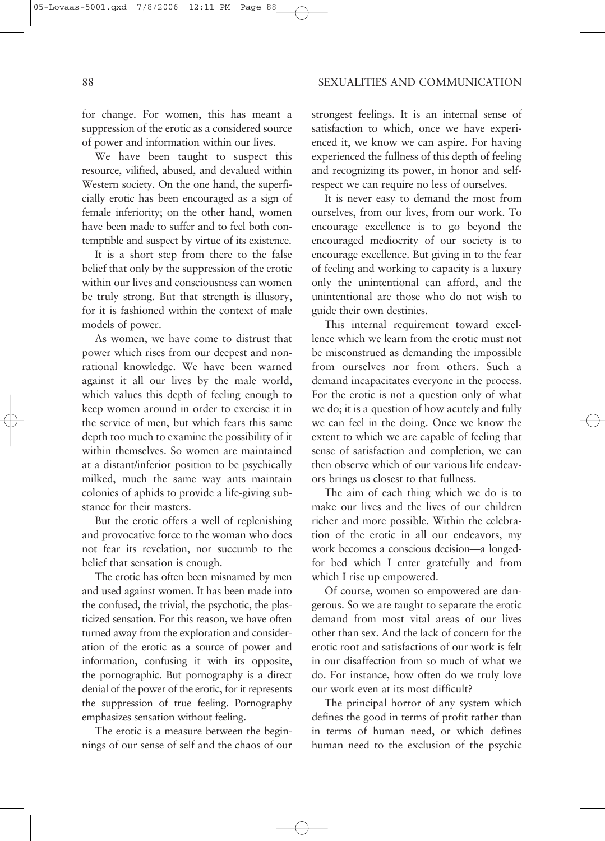#### 88 SEXUALITIES AND COMMUNICATION

for change. For women, this has meant a suppression of the erotic as a considered source of power and information within our lives.

We have been taught to suspect this resource, vilified, abused, and devalued within Western society. On the one hand, the superficially erotic has been encouraged as a sign of female inferiority; on the other hand, women have been made to suffer and to feel both contemptible and suspect by virtue of its existence.

It is a short step from there to the false belief that only by the suppression of the erotic within our lives and consciousness can women be truly strong. But that strength is illusory, for it is fashioned within the context of male models of power.

As women, we have come to distrust that power which rises from our deepest and nonrational knowledge. We have been warned against it all our lives by the male world, which values this depth of feeling enough to keep women around in order to exercise it in the service of men, but which fears this same depth too much to examine the possibility of it within themselves. So women are maintained at a distant/inferior position to be psychically milked, much the same way ants maintain colonies of aphids to provide a life-giving substance for their masters.

But the erotic offers a well of replenishing and provocative force to the woman who does not fear its revelation, nor succumb to the belief that sensation is enough.

The erotic has often been misnamed by men and used against women. It has been made into the confused, the trivial, the psychotic, the plasticized sensation. For this reason, we have often turned away from the exploration and consideration of the erotic as a source of power and information, confusing it with its opposite, the pornographic. But pornography is a direct denial of the power of the erotic, for it represents the suppression of true feeling. Pornography emphasizes sensation without feeling.

The erotic is a measure between the beginnings of our sense of self and the chaos of our strongest feelings. It is an internal sense of satisfaction to which, once we have experienced it, we know we can aspire. For having experienced the fullness of this depth of feeling and recognizing its power, in honor and selfrespect we can require no less of ourselves.

It is never easy to demand the most from ourselves, from our lives, from our work. To encourage excellence is to go beyond the encouraged mediocrity of our society is to encourage excellence. But giving in to the fear of feeling and working to capacity is a luxury only the unintentional can afford, and the unintentional are those who do not wish to guide their own destinies.

This internal requirement toward excellence which we learn from the erotic must not be misconstrued as demanding the impossible from ourselves nor from others. Such a demand incapacitates everyone in the process. For the erotic is not a question only of what we do; it is a question of how acutely and fully we can feel in the doing. Once we know the extent to which we are capable of feeling that sense of satisfaction and completion, we can then observe which of our various life endeavors brings us closest to that fullness.

The aim of each thing which we do is to make our lives and the lives of our children richer and more possible. Within the celebration of the erotic in all our endeavors, my work becomes a conscious decision—a longedfor bed which I enter gratefully and from which I rise up empowered.

Of course, women so empowered are dangerous. So we are taught to separate the erotic demand from most vital areas of our lives other than sex. And the lack of concern for the erotic root and satisfactions of our work is felt in our disaffection from so much of what we do. For instance, how often do we truly love our work even at its most difficult?

The principal horror of any system which defines the good in terms of profit rather than in terms of human need, or which defines human need to the exclusion of the psychic

05-Lovaas-5001.qxd 7/8/2006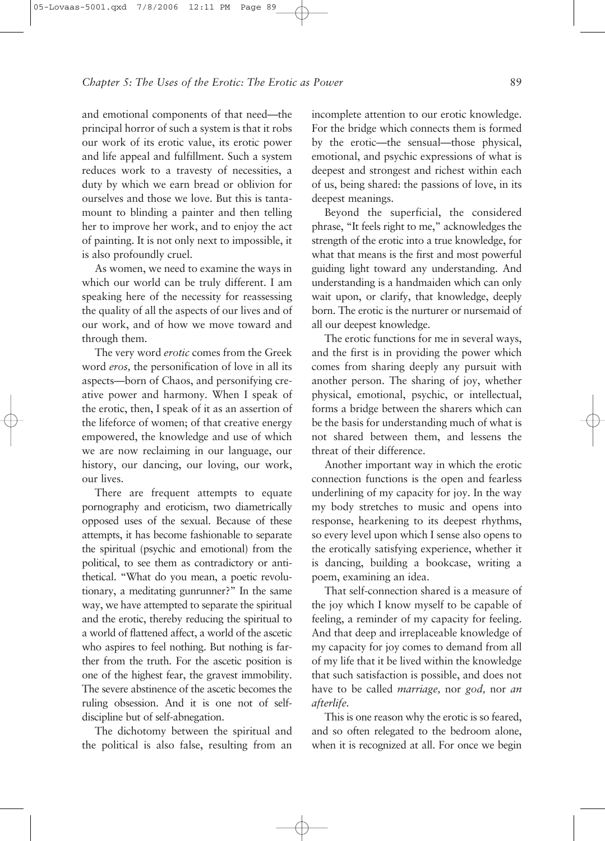#### *Chapter 5: The Uses of the Erotic: The Erotic as Power* 89

and emotional components of that need—the principal horror of such a system is that it robs our work of its erotic value, its erotic power and life appeal and fulfillment. Such a system reduces work to a travesty of necessities, a duty by which we earn bread or oblivion for ourselves and those we love. But this is tantamount to blinding a painter and then telling her to improve her work, and to enjoy the act of painting. It is not only next to impossible, it is also profoundly cruel.

As women, we need to examine the ways in which our world can be truly different. I am speaking here of the necessity for reassessing the quality of all the aspects of our lives and of our work, and of how we move toward and through them.

The very word *erotic* comes from the Greek word *eros,* the personification of love in all its aspects—born of Chaos, and personifying creative power and harmony. When I speak of the erotic, then, I speak of it as an assertion of the lifeforce of women; of that creative energy empowered, the knowledge and use of which we are now reclaiming in our language, our history, our dancing, our loving, our work, our lives.

There are frequent attempts to equate pornography and eroticism, two diametrically opposed uses of the sexual. Because of these attempts, it has become fashionable to separate the spiritual (psychic and emotional) from the political, to see them as contradictory or antithetical. "What do you mean, a poetic revolutionary, a meditating gunrunner?" In the same way, we have attempted to separate the spiritual and the erotic, thereby reducing the spiritual to a world of flattened affect, a world of the ascetic who aspires to feel nothing. But nothing is farther from the truth. For the ascetic position is one of the highest fear, the gravest immobility. The severe abstinence of the ascetic becomes the ruling obsession. And it is one not of selfdiscipline but of self-abnegation.

The dichotomy between the spiritual and the political is also false, resulting from an incomplete attention to our erotic knowledge. For the bridge which connects them is formed by the erotic—the sensual—those physical, emotional, and psychic expressions of what is deepest and strongest and richest within each of us, being shared: the passions of love, in its deepest meanings.

Beyond the superficial, the considered phrase, "It feels right to me," acknowledges the strength of the erotic into a true knowledge, for what that means is the first and most powerful guiding light toward any understanding. And understanding is a handmaiden which can only wait upon, or clarify, that knowledge, deeply born. The erotic is the nurturer or nursemaid of all our deepest knowledge.

The erotic functions for me in several ways, and the first is in providing the power which comes from sharing deeply any pursuit with another person. The sharing of joy, whether physical, emotional, psychic, or intellectual, forms a bridge between the sharers which can be the basis for understanding much of what is not shared between them, and lessens the threat of their difference.

Another important way in which the erotic connection functions is the open and fearless underlining of my capacity for joy. In the way my body stretches to music and opens into response, hearkening to its deepest rhythms, so every level upon which I sense also opens to the erotically satisfying experience, whether it is dancing, building a bookcase, writing a poem, examining an idea.

That self-connection shared is a measure of the joy which I know myself to be capable of feeling, a reminder of my capacity for feeling. And that deep and irreplaceable knowledge of my capacity for joy comes to demand from all of my life that it be lived within the knowledge that such satisfaction is possible, and does not have to be called *marriage,* nor *god,* nor *an afterlife.*

This is one reason why the erotic is so feared, and so often relegated to the bedroom alone, when it is recognized at all. For once we begin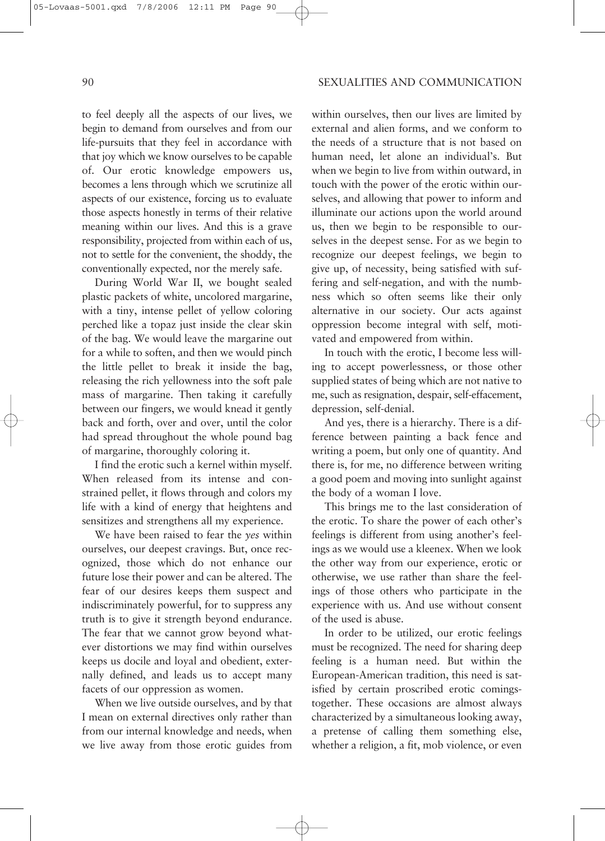to feel deeply all the aspects of our lives, we begin to demand from ourselves and from our life-pursuits that they feel in accordance with that joy which we know ourselves to be capable of. Our erotic knowledge empowers us, becomes a lens through which we scrutinize all aspects of our existence, forcing us to evaluate those aspects honestly in terms of their relative meaning within our lives. And this is a grave responsibility, projected from within each of us, not to settle for the convenient, the shoddy, the conventionally expected, nor the merely safe.

During World War II, we bought sealed plastic packets of white, uncolored margarine, with a tiny, intense pellet of yellow coloring perched like a topaz just inside the clear skin of the bag. We would leave the margarine out for a while to soften, and then we would pinch the little pellet to break it inside the bag, releasing the rich yellowness into the soft pale mass of margarine. Then taking it carefully between our fingers, we would knead it gently back and forth, over and over, until the color had spread throughout the whole pound bag of margarine, thoroughly coloring it.

I find the erotic such a kernel within myself. When released from its intense and constrained pellet, it flows through and colors my life with a kind of energy that heightens and sensitizes and strengthens all my experience.

We have been raised to fear the *yes* within ourselves, our deepest cravings. But, once recognized, those which do not enhance our future lose their power and can be altered. The fear of our desires keeps them suspect and indiscriminately powerful, for to suppress any truth is to give it strength beyond endurance. The fear that we cannot grow beyond whatever distortions we may find within ourselves keeps us docile and loyal and obedient, externally defined, and leads us to accept many facets of our oppression as women.

When we live outside ourselves, and by that I mean on external directives only rather than from our internal knowledge and needs, when we live away from those erotic guides from

#### 90 SEXUALITIES AND COMMUNICATION

within ourselves, then our lives are limited by external and alien forms, and we conform to the needs of a structure that is not based on human need, let alone an individual's. But when we begin to live from within outward, in touch with the power of the erotic within ourselves, and allowing that power to inform and illuminate our actions upon the world around us, then we begin to be responsible to ourselves in the deepest sense. For as we begin to recognize our deepest feelings, we begin to give up, of necessity, being satisfied with suffering and self-negation, and with the numbness which so often seems like their only alternative in our society. Our acts against oppression become integral with self, motivated and empowered from within.

In touch with the erotic, I become less willing to accept powerlessness, or those other supplied states of being which are not native to me, such as resignation, despair, self-effacement, depression, self-denial.

And yes, there is a hierarchy. There is a difference between painting a back fence and writing a poem, but only one of quantity. And there is, for me, no difference between writing a good poem and moving into sunlight against the body of a woman I love.

This brings me to the last consideration of the erotic. To share the power of each other's feelings is different from using another's feelings as we would use a kleenex. When we look the other way from our experience, erotic or otherwise, we use rather than share the feelings of those others who participate in the experience with us. And use without consent of the used is abuse.

In order to be utilized, our erotic feelings must be recognized. The need for sharing deep feeling is a human need. But within the European-American tradition, this need is satisfied by certain proscribed erotic comingstogether. These occasions are almost always characterized by a simultaneous looking away, a pretense of calling them something else, whether a religion, a fit, mob violence, or even